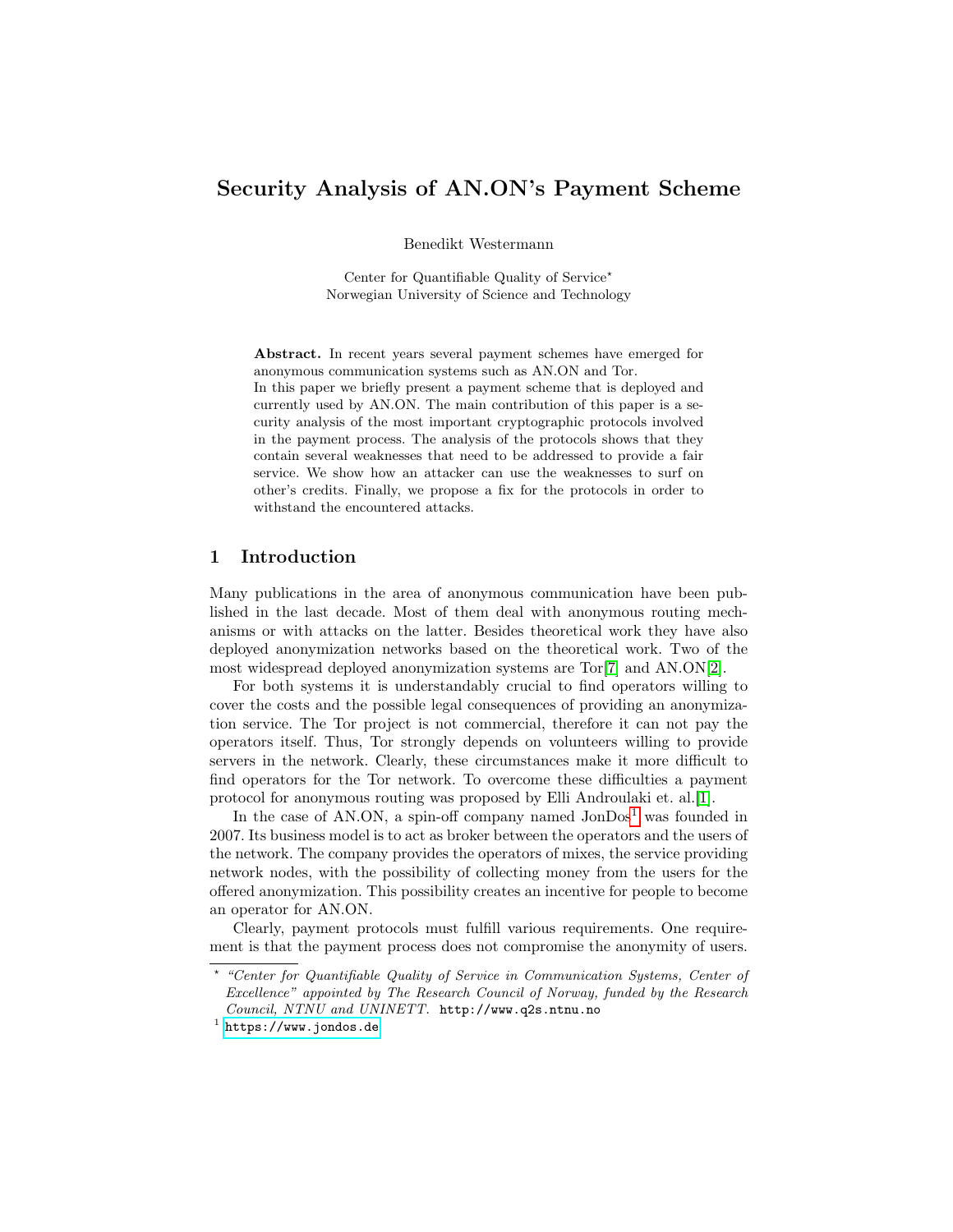# Security Analysis of AN.ON's Payment Scheme

Benedikt Westermann

Center for Quantifiable Quality of Service? Norwegian University of Science and Technology

Abstract. In recent years several payment schemes have emerged for anonymous communication systems such as AN.ON and Tor. In this paper we briefly present a payment scheme that is deployed and currently used by AN.ON. The main contribution of this paper is a security analysis of the most important cryptographic protocols involved in the payment process. The analysis of the protocols shows that they contain several weaknesses that need to be addressed to provide a fair service. We show how an attacker can use the weaknesses to surf on other's credits. Finally, we propose a fix for the protocols in order to withstand the encountered attacks.

# 1 Introduction

Many publications in the area of anonymous communication have been published in the last decade. Most of them deal with anonymous routing mechanisms or with attacks on the latter. Besides theoretical work they have also deployed anonymization networks based on the theoretical work. Two of the most widespread deployed anonymization systems are Tor[\[7\]](#page-15-0) and AN.ON[\[2\]](#page-15-1).

For both systems it is understandably crucial to find operators willing to cover the costs and the possible legal consequences of providing an anonymization service. The Tor project is not commercial, therefore it can not pay the operators itself. Thus, Tor strongly depends on volunteers willing to provide servers in the network. Clearly, these circumstances make it more difficult to find operators for the Tor network. To overcome these difficulties a payment protocol for anonymous routing was proposed by Elli Androulaki et. al.[\[1\]](#page-15-2).

In the case of AN.ON, a spin-off company named  $JonDos<sup>1</sup>$  $JonDos<sup>1</sup>$  $JonDos<sup>1</sup>$  was founded in 2007. Its business model is to act as broker between the operators and the users of the network. The company provides the operators of mixes, the service providing network nodes, with the possibility of collecting money from the users for the offered anonymization. This possibility creates an incentive for people to become an operator for AN.ON.

Clearly, payment protocols must fulfill various requirements. One requirement is that the payment process does not compromise the anonymity of users.

<sup>\* &</sup>quot;Center for Quantifiable Quality of Service in Communication Systems, Center of Excellence" appointed by The Research Council of Norway, funded by the Research Council, NTNU and UNINETT. http://www.q2s.ntnu.no

<span id="page-0-0"></span><sup>1</sup> <https://www.jondos.de>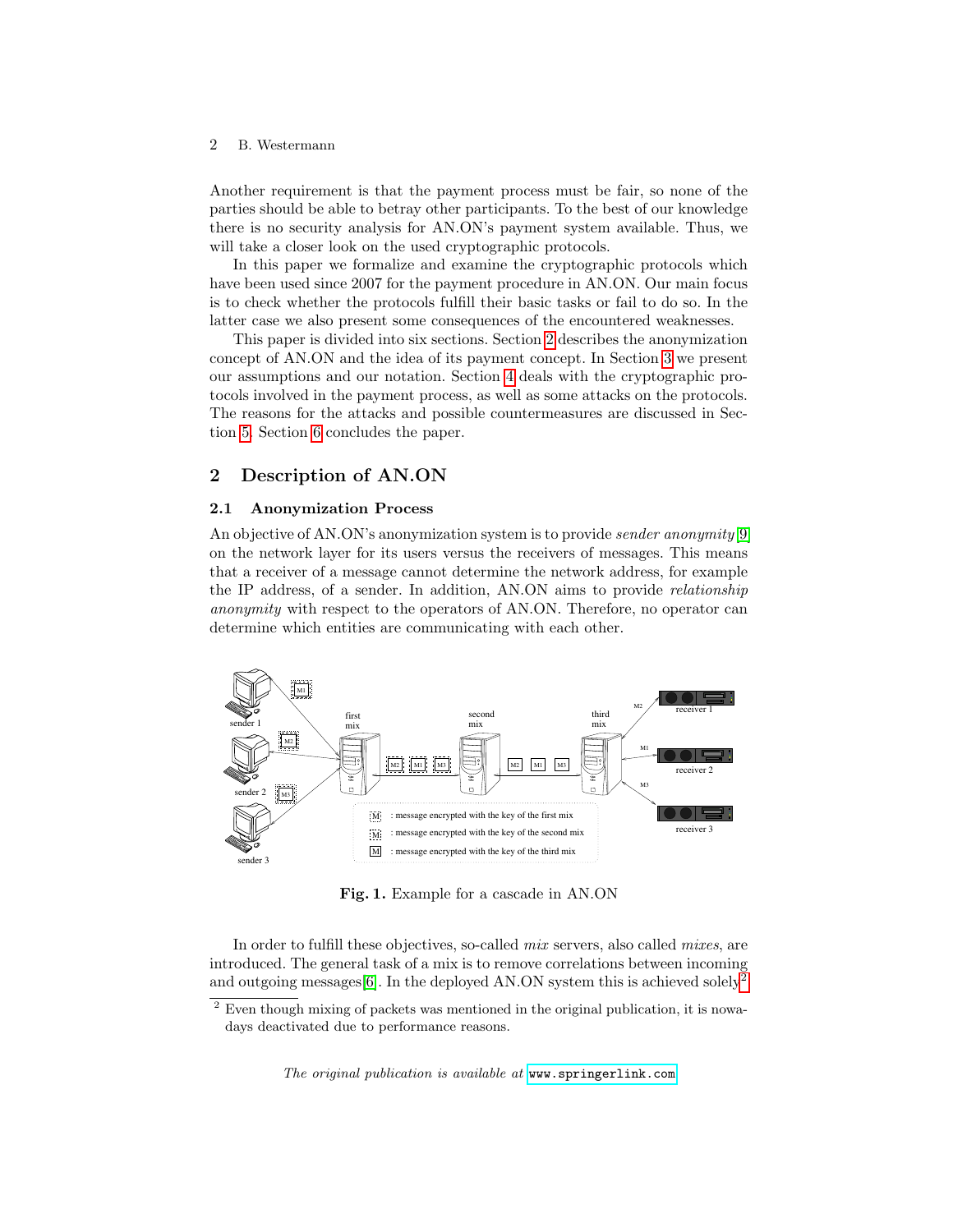Another requirement is that the payment process must be fair, so none of the parties should be able to betray other participants. To the best of our knowledge there is no security analysis for AN.ON's payment system available. Thus, we will take a closer look on the used cryptographic protocols.

In this paper we formalize and examine the cryptographic protocols which have been used since 2007 for the payment procedure in AN.ON. Our main focus is to check whether the protocols fulfill their basic tasks or fail to do so. In the latter case we also present some consequences of the encountered weaknesses.

This paper is divided into six sections. Section [2](#page-1-0) describes the anonymization concept of AN.ON and the idea of its payment concept. In Section [3](#page-3-0) we present our assumptions and our notation. Section [4](#page-3-1) deals with the cryptographic protocols involved in the payment process, as well as some attacks on the protocols. The reasons for the attacks and possible countermeasures are discussed in Section [5.](#page-12-0) Section [6](#page-15-3) concludes the paper.

## <span id="page-1-0"></span>2 Description of AN.ON

#### 2.1 Anonymization Process

An objective of AN.ON's anonymization system is to provide *sender anonymity*[\[9\]](#page-15-4) on the network layer for its users versus the receivers of messages. This means that a receiver of a message cannot determine the network address, for example the IP address, of a sender. In addition, AN.ON aims to provide relationship anonymity with respect to the operators of AN.ON. Therefore, no operator can determine which entities are communicating with each other.



<span id="page-1-2"></span>Fig. 1. Example for a cascade in AN.ON

In order to fulfill these objectives, so-called mix servers, also called mixes, are introduced. The general task of a mix is to remove correlations between incoming and outgoing messages [\[6\]](#page-15-5). In the deployed AN.ON system this is achieved solely<sup>[2](#page-1-1)</sup>

<span id="page-1-1"></span><sup>2</sup> Even though mixing of packets was mentioned in the original publication, it is nowadays deactivated due to performance reasons.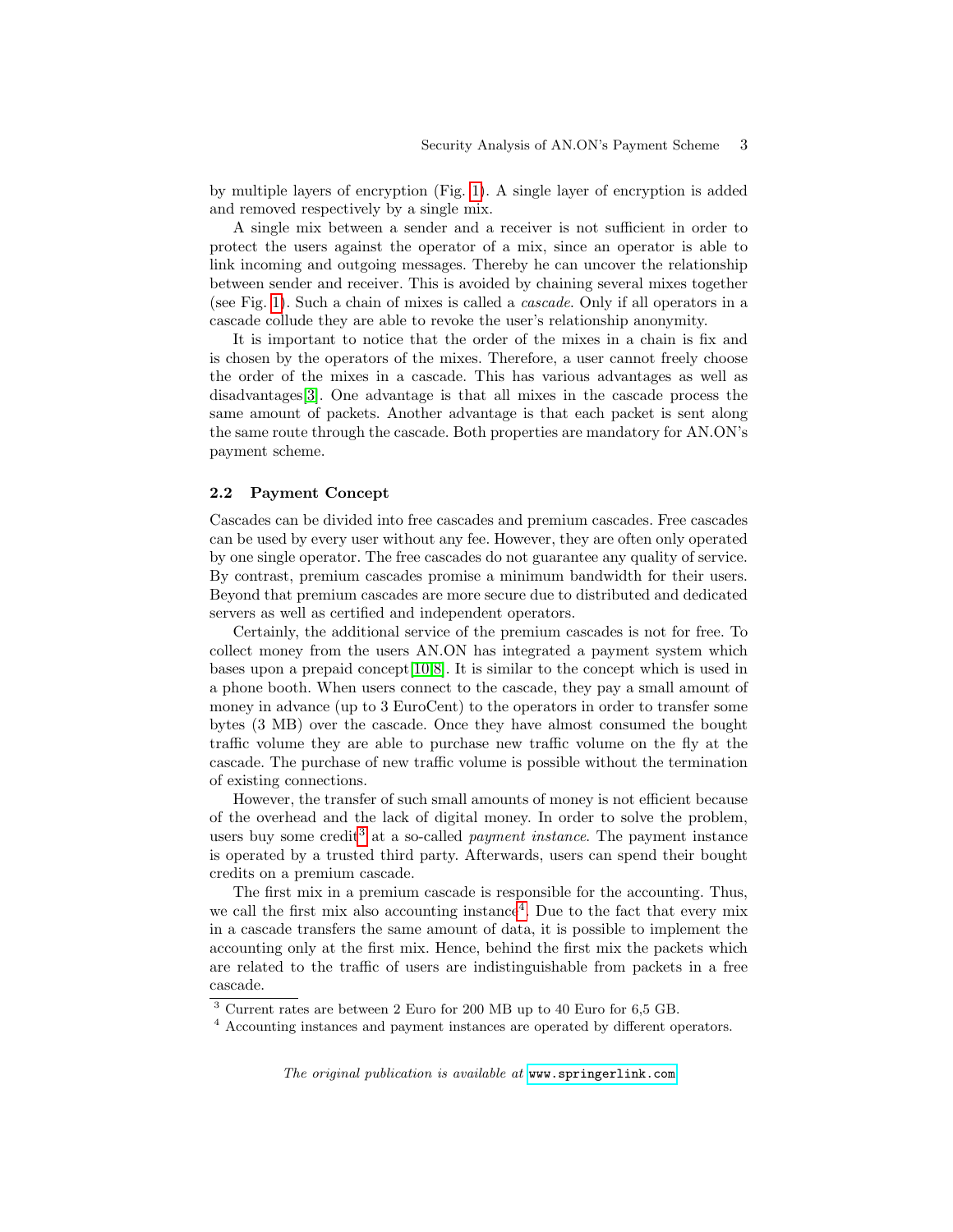by multiple layers of encryption (Fig. [1\)](#page-1-2). A single layer of encryption is added and removed respectively by a single mix.

A single mix between a sender and a receiver is not sufficient in order to protect the users against the operator of a mix, since an operator is able to link incoming and outgoing messages. Thereby he can uncover the relationship between sender and receiver. This is avoided by chaining several mixes together (see Fig. [1\)](#page-1-2). Such a chain of mixes is called a cascade. Only if all operators in a cascade collude they are able to revoke the user's relationship anonymity.

It is important to notice that the order of the mixes in a chain is fix and is chosen by the operators of the mixes. Therefore, a user cannot freely choose the order of the mixes in a cascade. This has various advantages as well as disadvantages[\[3\]](#page-15-6). One advantage is that all mixes in the cascade process the same amount of packets. Another advantage is that each packet is sent along the same route through the cascade. Both properties are mandatory for AN.ON's payment scheme.

## 2.2 Payment Concept

Cascades can be divided into free cascades and premium cascades. Free cascades can be used by every user without any fee. However, they are often only operated by one single operator. The free cascades do not guarantee any quality of service. By contrast, premium cascades promise a minimum bandwidth for their users. Beyond that premium cascades are more secure due to distributed and dedicated servers as well as certified and independent operators.

Certainly, the additional service of the premium cascades is not for free. To collect money from the users AN.ON has integrated a payment system which bases upon a prepaid concept[\[10,](#page-15-7)[8\]](#page-15-8). It is similar to the concept which is used in a phone booth. When users connect to the cascade, they pay a small amount of money in advance (up to 3 EuroCent) to the operators in order to transfer some bytes (3 MB) over the cascade. Once they have almost consumed the bought traffic volume they are able to purchase new traffic volume on the fly at the cascade. The purchase of new traffic volume is possible without the termination of existing connections.

However, the transfer of such small amounts of money is not efficient because of the overhead and the lack of digital money. In order to solve the problem, users buy some credit<sup>[3](#page-2-0)</sup> at a so-called *payment instance*. The payment instance is operated by a trusted third party. Afterwards, users can spend their bought credits on a premium cascade.

The first mix in a premium cascade is responsible for the accounting. Thus, we call the first mix also accounting instance<sup>[4](#page-2-1)</sup>. Due to the fact that every mix in a cascade transfers the same amount of data, it is possible to implement the accounting only at the first mix. Hence, behind the first mix the packets which are related to the traffic of users are indistinguishable from packets in a free cascade.

<span id="page-2-0"></span><sup>3</sup> Current rates are between 2 Euro for 200 MB up to 40 Euro for 6,5 GB.

<span id="page-2-1"></span><sup>4</sup> Accounting instances and payment instances are operated by different operators.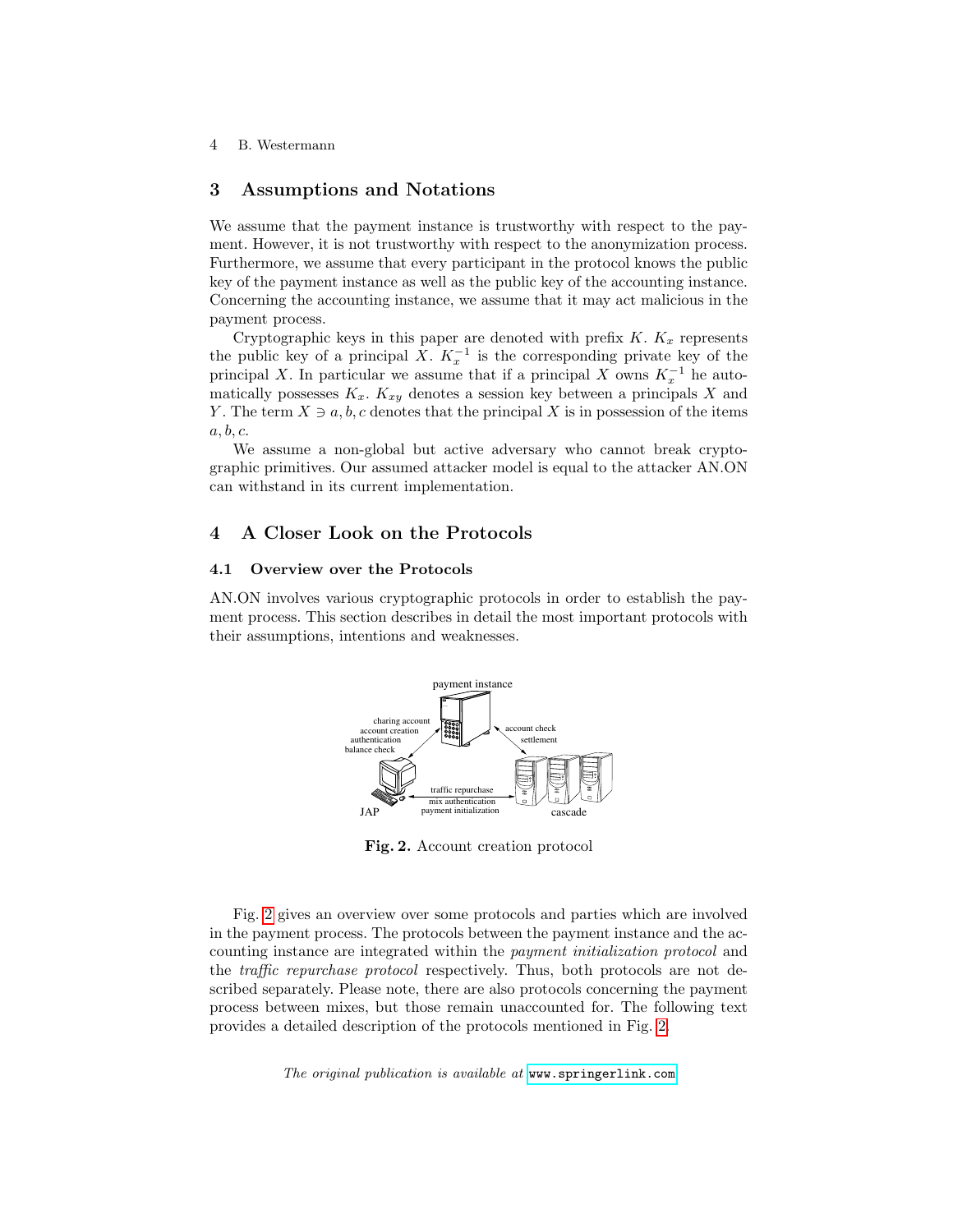# <span id="page-3-0"></span>3 Assumptions and Notations

We assume that the payment instance is trustworthy with respect to the payment. However, it is not trustworthy with respect to the anonymization process. Furthermore, we assume that every participant in the protocol knows the public key of the payment instance as well as the public key of the accounting instance. Concerning the accounting instance, we assume that it may act malicious in the payment process.

Cryptographic keys in this paper are denoted with prefix  $K$ .  $K_x$  represents the public key of a principal X.  $K_x^{-1}$  is the corresponding private key of the principal X. In particular we assume that if a principal X owns  $K_x^{-1}$  he automatically possesses  $K_x$ .  $K_{xy}$  denotes a session key between a principals X and Y. The term  $X \ni a, b, c$  denotes that the principal X is in possession of the items a, b, c.

We assume a non-global but active adversary who cannot break cryptographic primitives. Our assumed attacker model is equal to the attacker AN.ON can withstand in its current implementation.

# <span id="page-3-1"></span>4 A Closer Look on the Protocols

## 4.1 Overview over the Protocols

AN.ON involves various cryptographic protocols in order to establish the payment process. This section describes in detail the most important protocols with their assumptions, intentions and weaknesses.



<span id="page-3-2"></span>Fig. 2. Account creation protocol

Fig. [2](#page-3-2) gives an overview over some protocols and parties which are involved in the payment process. The protocols between the payment instance and the accounting instance are integrated within the payment initialization protocol and the traffic repurchase protocol respectively. Thus, both protocols are not described separately. Please note, there are also protocols concerning the payment process between mixes, but those remain unaccounted for. The following text provides a detailed description of the protocols mentioned in Fig. [2.](#page-3-2)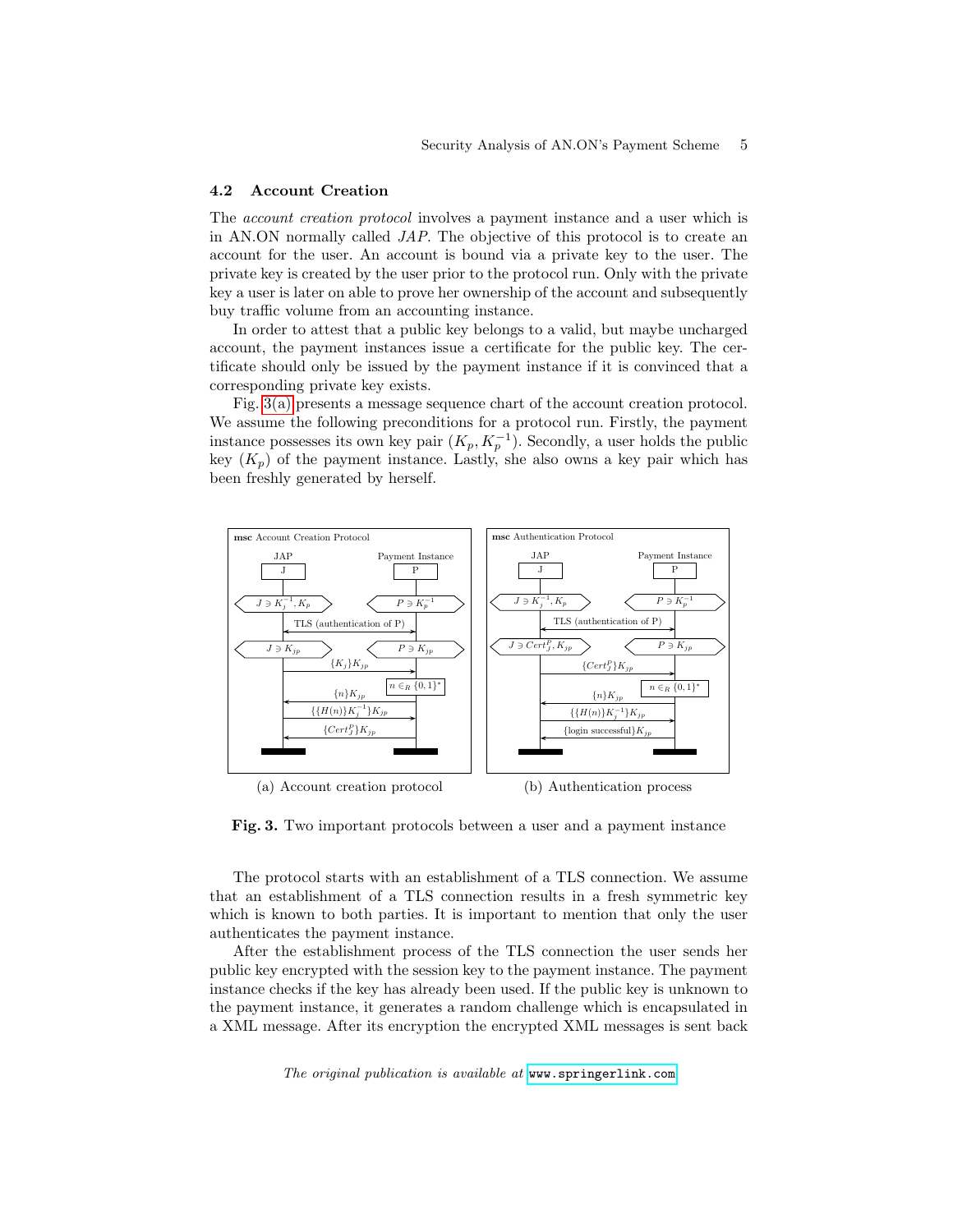#### <span id="page-4-2"></span>4.2 Account Creation

The account creation protocol involves a payment instance and a user which is in AN.ON normally called JAP. The objective of this protocol is to create an account for the user. An account is bound via a private key to the user. The private key is created by the user prior to the protocol run. Only with the private key a user is later on able to prove her ownership of the account and subsequently buy traffic volume from an accounting instance.

In order to attest that a public key belongs to a valid, but maybe uncharged account, the payment instances issue a certificate for the public key. The certificate should only be issued by the payment instance if it is convinced that a corresponding private key exists.

Fig. [3\(a\)](#page-4-0) presents a message sequence chart of the account creation protocol. We assume the following preconditions for a protocol run. Firstly, the payment instance possesses its own key pair  $(K_p, K_p^{-1})$ . Secondly, a user holds the public key  $(K_p)$  of the payment instance. Lastly, she also owns a key pair which has been freshly generated by herself.

<span id="page-4-0"></span>

<span id="page-4-1"></span>Fig. 3. Two important protocols between a user and a payment instance

The protocol starts with an establishment of a TLS connection. We assume that an establishment of a TLS connection results in a fresh symmetric key which is known to both parties. It is important to mention that only the user authenticates the payment instance.

After the establishment process of the TLS connection the user sends her public key encrypted with the session key to the payment instance. The payment instance checks if the key has already been used. If the public key is unknown to the payment instance, it generates a random challenge which is encapsulated in a XML message. After its encryption the encrypted XML messages is sent back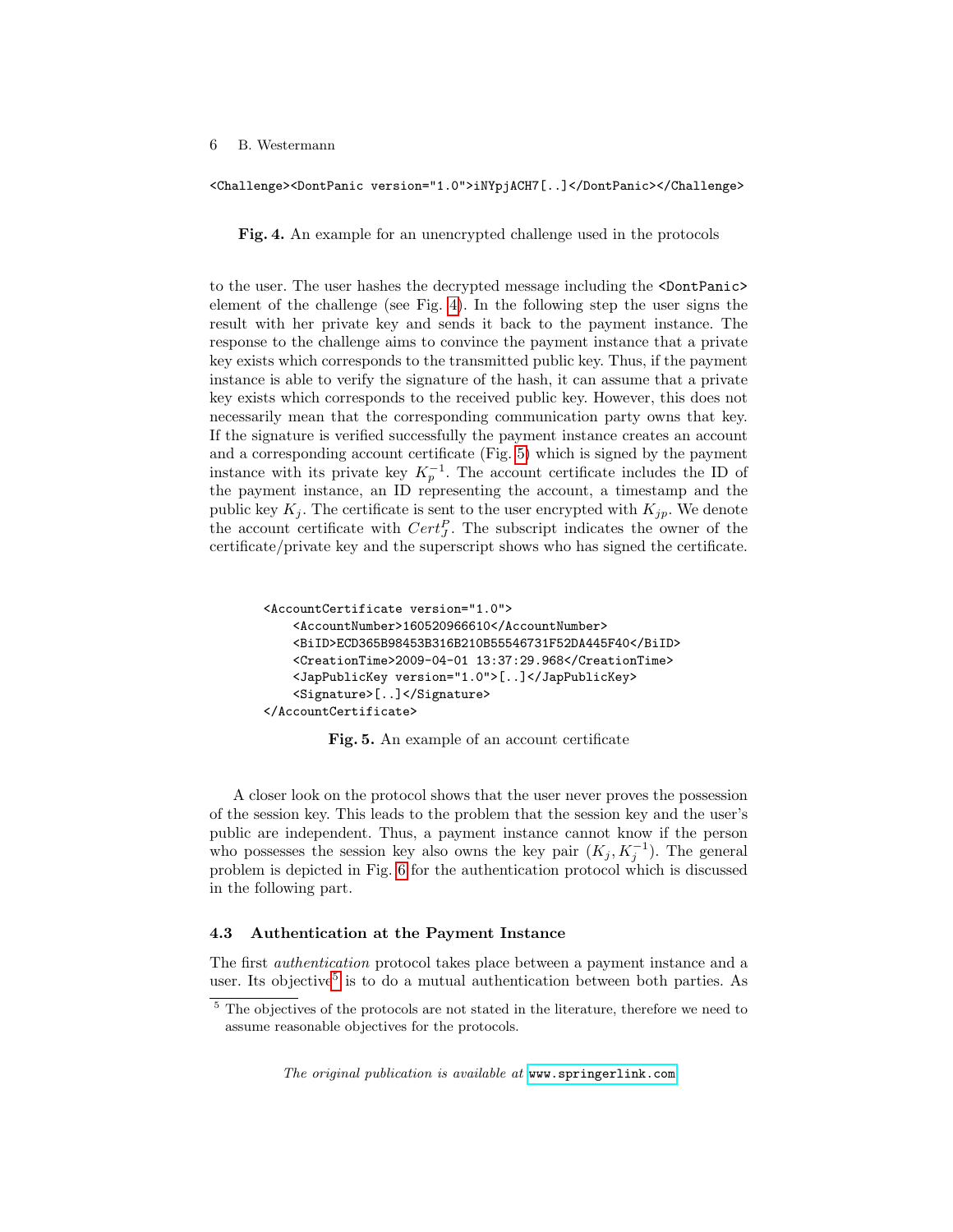<Challenge><DontPanic version="1.0">iNYpjACH7[..]</DontPanic></Challenge>

<span id="page-5-0"></span>Fig. 4. An example for an unencrypted challenge used in the protocols

to the user. The user hashes the decrypted message including the  $\leq$ DontPanic> element of the challenge (see Fig. [4\)](#page-5-0). In the following step the user signs the result with her private key and sends it back to the payment instance. The response to the challenge aims to convince the payment instance that a private key exists which corresponds to the transmitted public key. Thus, if the payment instance is able to verify the signature of the hash, it can assume that a private key exists which corresponds to the received public key. However, this does not necessarily mean that the corresponding communication party owns that key. If the signature is verified successfully the payment instance creates an account and a corresponding account certificate (Fig. [5\)](#page-5-1) which is signed by the payment instance with its private key  $K_p^{-1}$ . The account certificate includes the ID of the payment instance, an ID representing the account, a timestamp and the public key  $K_j$ . The certificate is sent to the user encrypted with  $K_{jp}$ . We denote the account certificate with  $Cert_J^P$ . The subscript indicates the owner of the certificate/private key and the superscript shows who has signed the certificate.

```
<AccountCertificate version="1.0">
   <AccountNumber>160520966610</AccountNumber>
   <BiID>ECD365B98453B316B210B55546731F52DA445F40</BiID>
   <CreationTime>2009-04-01 13:37:29.968</CreationTime>
   <JapPublicKey version="1.0">[..]</JapPublicKey>
    <Signature>[..]</Signature>
</AccountCertificate>
```
<span id="page-5-1"></span>Fig. 5. An example of an account certificate

A closer look on the protocol shows that the user never proves the possession of the session key. This leads to the problem that the session key and the user's public are independent. Thus, a payment instance cannot know if the person who possesses the session key also owns the key pair  $(K_j, K_j^{-1})$ . The general problem is depicted in Fig. [6](#page-6-0) for the authentication protocol which is discussed in the following part.

#### 4.3 Authentication at the Payment Instance

The first authentication protocol takes place between a payment instance and a user. Its objective<sup>[5](#page-5-2)</sup> is to do a mutual authentication between both parties. As

<span id="page-5-2"></span> $5$  The objectives of the protocols are not stated in the literature, therefore we need to assume reasonable objectives for the protocols.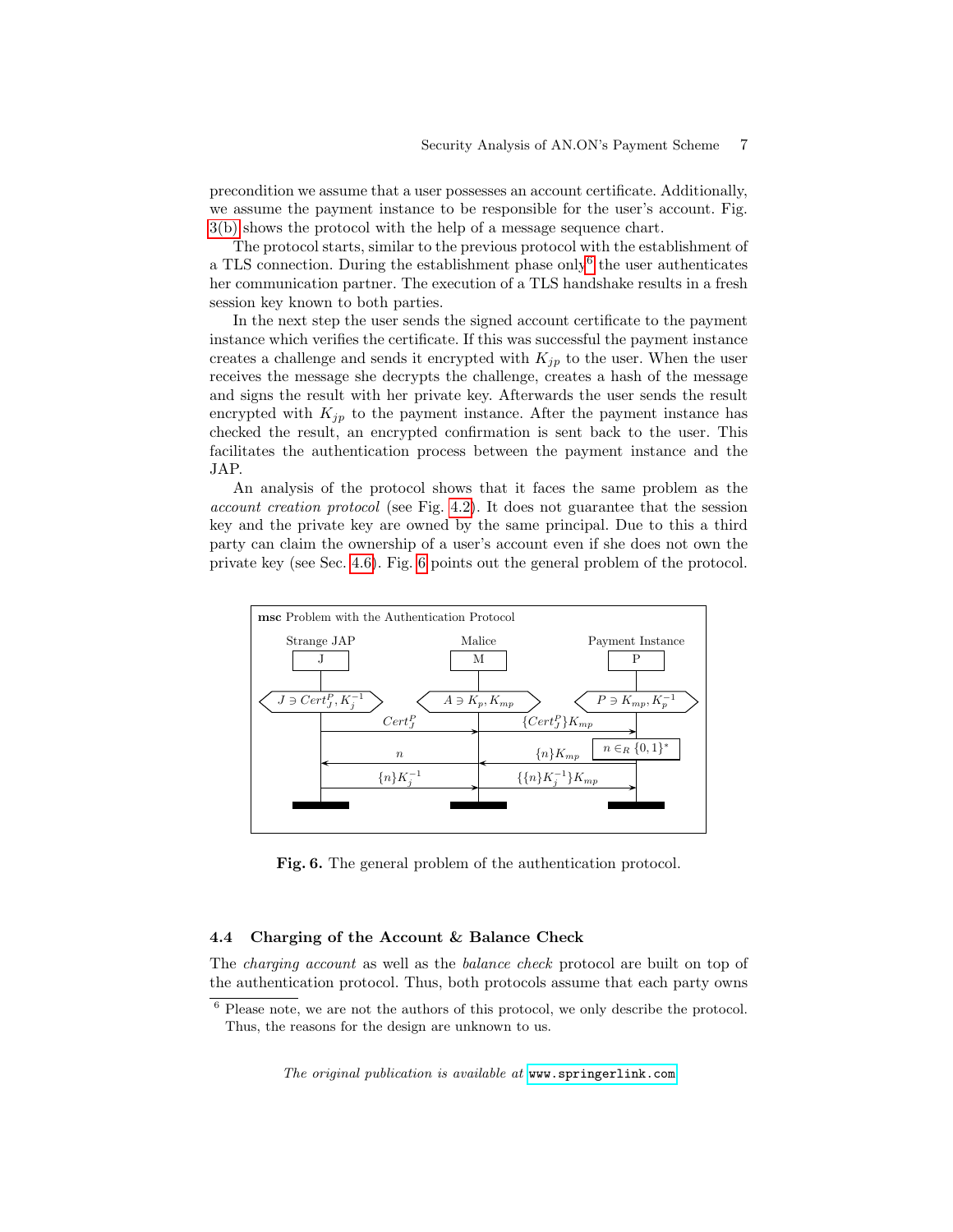precondition we assume that a user possesses an account certificate. Additionally, we assume the payment instance to be responsible for the user's account. Fig. [3\(b\)](#page-4-1) shows the protocol with the help of a message sequence chart.

The protocol starts, similar to the previous protocol with the establishment of a TLS connection. During the establishment phase only<sup>[6](#page-6-1)</sup> the user authenticates her communication partner. The execution of a TLS handshake results in a fresh session key known to both parties.

In the next step the user sends the signed account certificate to the payment instance which verifies the certificate. If this was successful the payment instance creates a challenge and sends it encrypted with  $K_{jp}$  to the user. When the user receives the message she decrypts the challenge, creates a hash of the message and signs the result with her private key. Afterwards the user sends the result encrypted with  $K_{ip}$  to the payment instance. After the payment instance has checked the result, an encrypted confirmation is sent back to the user. This facilitates the authentication process between the payment instance and the JAP.

An analysis of the protocol shows that it faces the same problem as the account creation protocol (see Fig. [4.2\)](#page-4-2). It does not guarantee that the session key and the private key are owned by the same principal. Due to this a third party can claim the ownership of a user's account even if she does not own the private key (see Sec. [4.6\)](#page-7-0). Fig. [6](#page-6-0) points out the general problem of the protocol.



<span id="page-6-0"></span>Fig. 6. The general problem of the authentication protocol.

## 4.4 Charging of the Account & Balance Check

The charging account as well as the balance check protocol are built on top of the authentication protocol. Thus, both protocols assume that each party owns

<span id="page-6-1"></span><sup>6</sup> Please note, we are not the authors of this protocol, we only describe the protocol. Thus, the reasons for the design are unknown to us.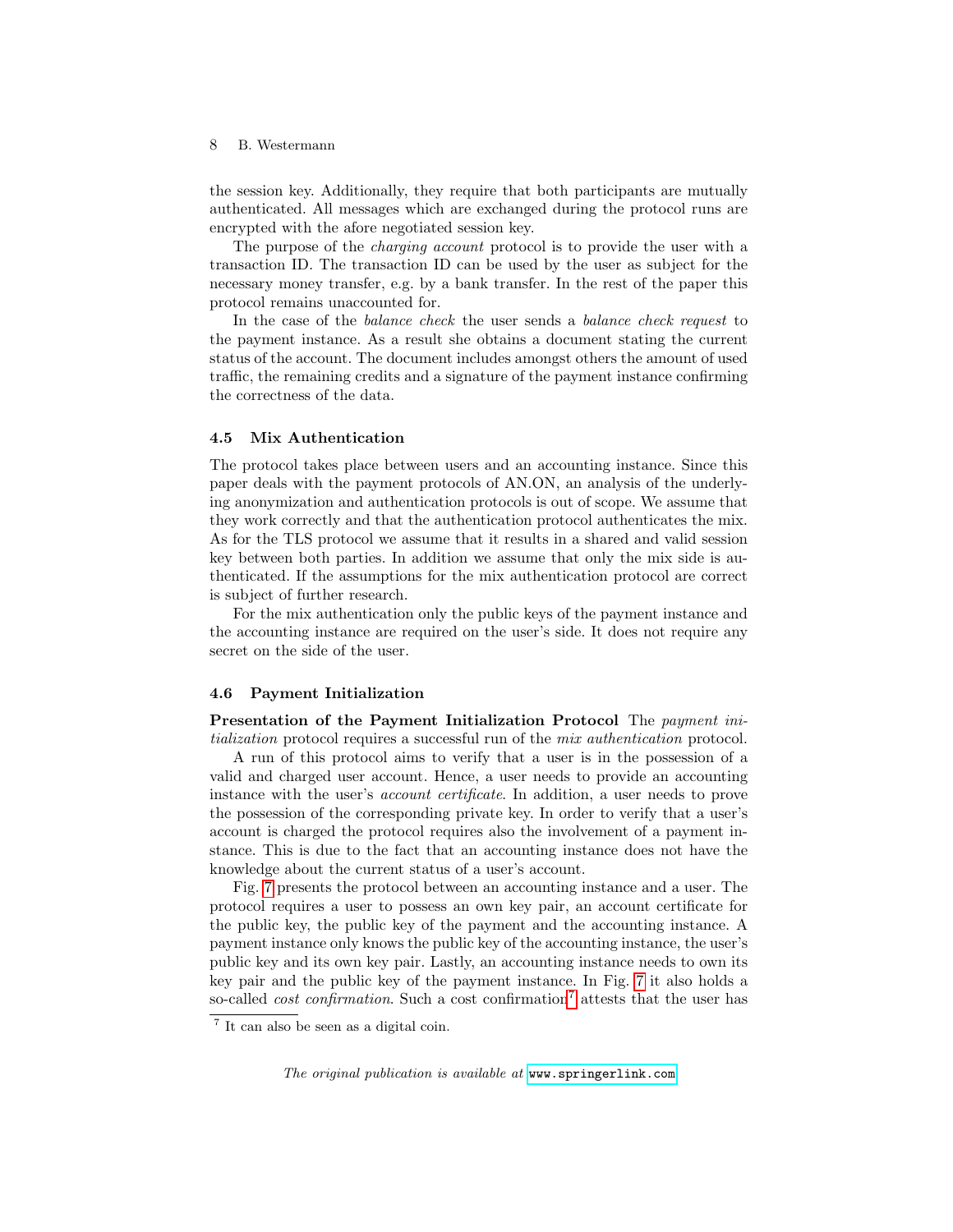the session key. Additionally, they require that both participants are mutually authenticated. All messages which are exchanged during the protocol runs are encrypted with the afore negotiated session key.

The purpose of the charging account protocol is to provide the user with a transaction ID. The transaction ID can be used by the user as subject for the necessary money transfer, e.g. by a bank transfer. In the rest of the paper this protocol remains unaccounted for.

In the case of the balance check the user sends a balance check request to the payment instance. As a result she obtains a document stating the current status of the account. The document includes amongst others the amount of used traffic, the remaining credits and a signature of the payment instance confirming the correctness of the data.

#### 4.5 Mix Authentication

The protocol takes place between users and an accounting instance. Since this paper deals with the payment protocols of AN.ON, an analysis of the underlying anonymization and authentication protocols is out of scope. We assume that they work correctly and that the authentication protocol authenticates the mix. As for the TLS protocol we assume that it results in a shared and valid session key between both parties. In addition we assume that only the mix side is authenticated. If the assumptions for the mix authentication protocol are correct is subject of further research.

For the mix authentication only the public keys of the payment instance and the accounting instance are required on the user's side. It does not require any secret on the side of the user.

#### <span id="page-7-0"></span>4.6 Payment Initialization

Presentation of the Payment Initialization Protocol The payment initialization protocol requires a successful run of the mix authentication protocol.

A run of this protocol aims to verify that a user is in the possession of a valid and charged user account. Hence, a user needs to provide an accounting instance with the user's account certificate. In addition, a user needs to prove the possession of the corresponding private key. In order to verify that a user's account is charged the protocol requires also the involvement of a payment instance. This is due to the fact that an accounting instance does not have the knowledge about the current status of a user's account.

Fig. [7](#page-8-0) presents the protocol between an accounting instance and a user. The protocol requires a user to possess an own key pair, an account certificate for the public key, the public key of the payment and the accounting instance. A payment instance only knows the public key of the accounting instance, the user's public key and its own key pair. Lastly, an accounting instance needs to own its key pair and the public key of the payment instance. In Fig. [7](#page-8-0) it also holds a so-called *cost confirmation*. Such a cost confirmation<sup>[7](#page-7-1)</sup> attests that the user has

<span id="page-7-1"></span><sup>7</sup> It can also be seen as a digital coin.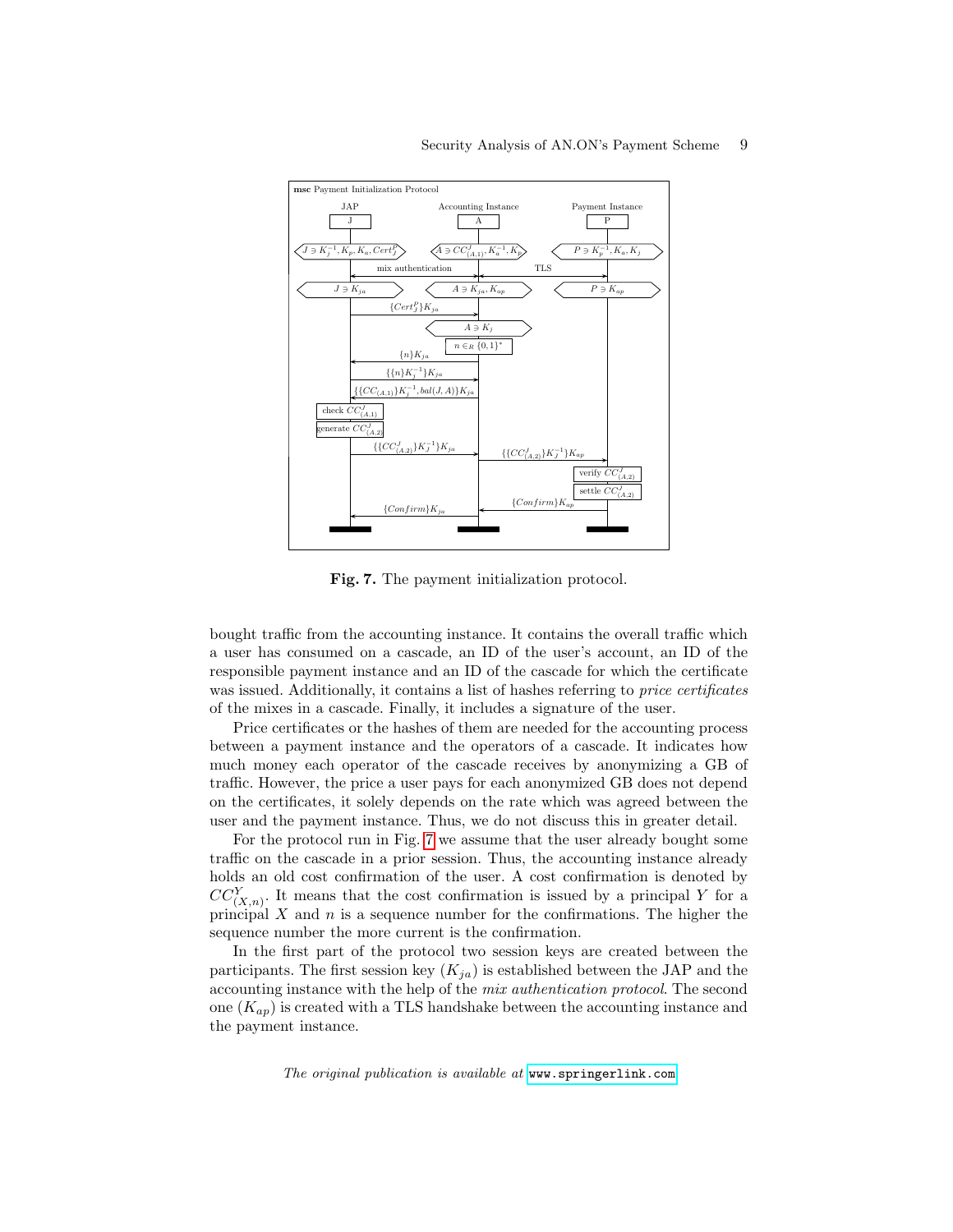

<span id="page-8-0"></span>Fig. 7. The payment initialization protocol.

bought traffic from the accounting instance. It contains the overall traffic which a user has consumed on a cascade, an ID of the user's account, an ID of the responsible payment instance and an ID of the cascade for which the certificate was issued. Additionally, it contains a list of hashes referring to *price certificates* of the mixes in a cascade. Finally, it includes a signature of the user.

Price certificates or the hashes of them are needed for the accounting process between a payment instance and the operators of a cascade. It indicates how much money each operator of the cascade receives by anonymizing a GB of traffic. However, the price a user pays for each anonymized GB does not depend on the certificates, it solely depends on the rate which was agreed between the user and the payment instance. Thus, we do not discuss this in greater detail.

For the protocol run in Fig. [7](#page-8-0) we assume that the user already bought some traffic on the cascade in a prior session. Thus, the accounting instance already holds an old cost confirmation of the user. A cost confirmation is denoted by  $CC^Y_{(X,n)}$ . It means that the cost confirmation is issued by a principal Y for a principal  $X$  and  $n$  is a sequence number for the confirmations. The higher the sequence number the more current is the confirmation.

In the first part of the protocol two session keys are created between the participants. The first session key  $(K_{ja})$  is established between the JAP and the accounting instance with the help of the mix authentication protocol. The second one  $(K_{ap})$  is created with a TLS handshake between the accounting instance and the payment instance.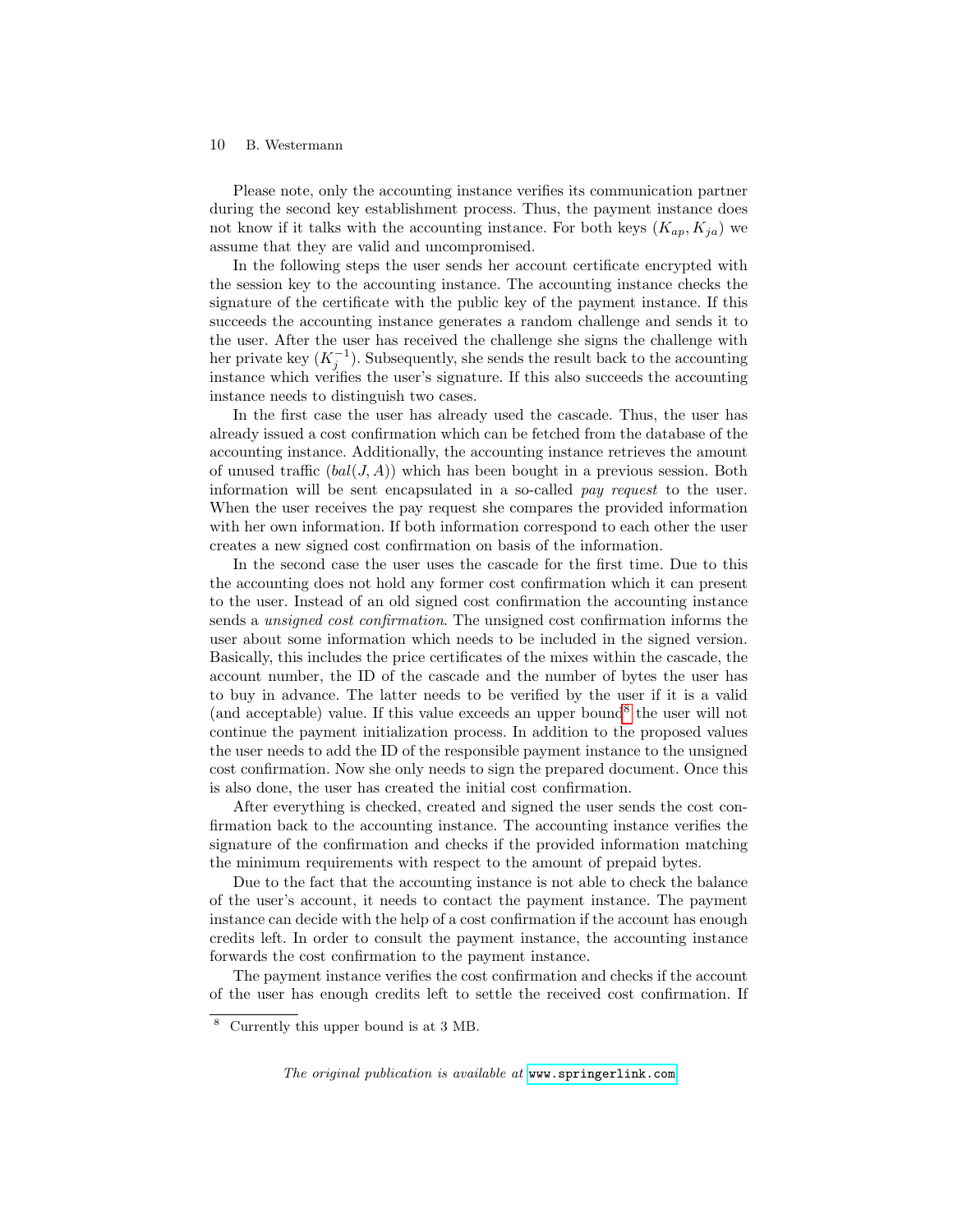Please note, only the accounting instance verifies its communication partner during the second key establishment process. Thus, the payment instance does not know if it talks with the accounting instance. For both keys  $(K_{ap}, K_{ja})$  we assume that they are valid and uncompromised.

In the following steps the user sends her account certificate encrypted with the session key to the accounting instance. The accounting instance checks the signature of the certificate with the public key of the payment instance. If this succeeds the accounting instance generates a random challenge and sends it to the user. After the user has received the challenge she signs the challenge with her private key  $(K_j^{-1})$ . Subsequently, she sends the result back to the accounting instance which verifies the user's signature. If this also succeeds the accounting instance needs to distinguish two cases.

In the first case the user has already used the cascade. Thus, the user has already issued a cost confirmation which can be fetched from the database of the accounting instance. Additionally, the accounting instance retrieves the amount of unused traffic  $(bal(J, A))$  which has been bought in a previous session. Both information will be sent encapsulated in a so-called pay request to the user. When the user receives the pay request she compares the provided information with her own information. If both information correspond to each other the user creates a new signed cost confirmation on basis of the information.

In the second case the user uses the cascade for the first time. Due to this the accounting does not hold any former cost confirmation which it can present to the user. Instead of an old signed cost confirmation the accounting instance sends a unsigned cost confirmation. The unsigned cost confirmation informs the user about some information which needs to be included in the signed version. Basically, this includes the price certificates of the mixes within the cascade, the account number, the ID of the cascade and the number of bytes the user has to buy in advance. The latter needs to be verified by the user if it is a valid (and acceptable) value. If this value exceeds an upper bound<sup>[8](#page-9-0)</sup> the user will not continue the payment initialization process. In addition to the proposed values the user needs to add the ID of the responsible payment instance to the unsigned cost confirmation. Now she only needs to sign the prepared document. Once this is also done, the user has created the initial cost confirmation.

After everything is checked, created and signed the user sends the cost confirmation back to the accounting instance. The accounting instance verifies the signature of the confirmation and checks if the provided information matching the minimum requirements with respect to the amount of prepaid bytes.

Due to the fact that the accounting instance is not able to check the balance of the user's account, it needs to contact the payment instance. The payment instance can decide with the help of a cost confirmation if the account has enough credits left. In order to consult the payment instance, the accounting instance forwards the cost confirmation to the payment instance.

The payment instance verifies the cost confirmation and checks if the account of the user has enough credits left to settle the received cost confirmation. If

<span id="page-9-0"></span><sup>8</sup> Currently this upper bound is at 3 MB.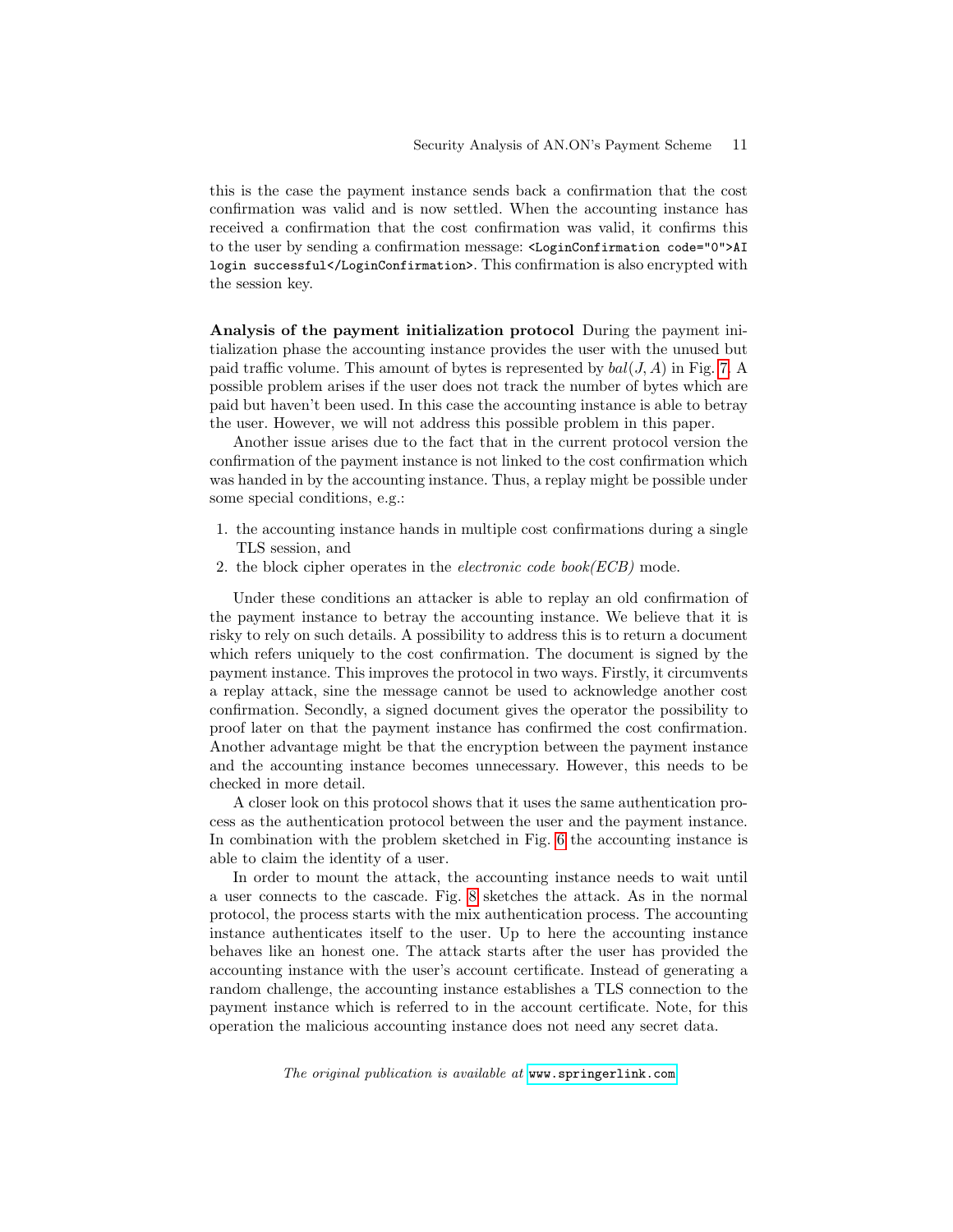this is the case the payment instance sends back a confirmation that the cost confirmation was valid and is now settled. When the accounting instance has received a confirmation that the cost confirmation was valid, it confirms this to the user by sending a confirmation message: <LoginConfirmation code="0">AI login successful</LoginConfirmation>. This confirmation is also encrypted with the session key.

Analysis of the payment initialization protocol During the payment initialization phase the accounting instance provides the user with the unused but paid traffic volume. This amount of bytes is represented by  $bal(J, A)$  in Fig. [7.](#page-8-0) A possible problem arises if the user does not track the number of bytes which are paid but haven't been used. In this case the accounting instance is able to betray the user. However, we will not address this possible problem in this paper.

Another issue arises due to the fact that in the current protocol version the confirmation of the payment instance is not linked to the cost confirmation which was handed in by the accounting instance. Thus, a replay might be possible under some special conditions, e.g.:

- 1. the accounting instance hands in multiple cost confirmations during a single TLS session, and
- 2. the block cipher operates in the *electronic code book(ECB)* mode.

Under these conditions an attacker is able to replay an old confirmation of the payment instance to betray the accounting instance. We believe that it is risky to rely on such details. A possibility to address this is to return a document which refers uniquely to the cost confirmation. The document is signed by the payment instance. This improves the protocol in two ways. Firstly, it circumvents a replay attack, sine the message cannot be used to acknowledge another cost confirmation. Secondly, a signed document gives the operator the possibility to proof later on that the payment instance has confirmed the cost confirmation. Another advantage might be that the encryption between the payment instance and the accounting instance becomes unnecessary. However, this needs to be checked in more detail.

A closer look on this protocol shows that it uses the same authentication process as the authentication protocol between the user and the payment instance. In combination with the problem sketched in Fig. [6](#page-6-0) the accounting instance is able to claim the identity of a user.

In order to mount the attack, the accounting instance needs to wait until a user connects to the cascade. Fig. [8](#page-11-0) sketches the attack. As in the normal protocol, the process starts with the mix authentication process. The accounting instance authenticates itself to the user. Up to here the accounting instance behaves like an honest one. The attack starts after the user has provided the accounting instance with the user's account certificate. Instead of generating a random challenge, the accounting instance establishes a TLS connection to the payment instance which is referred to in the account certificate. Note, for this operation the malicious accounting instance does not need any secret data.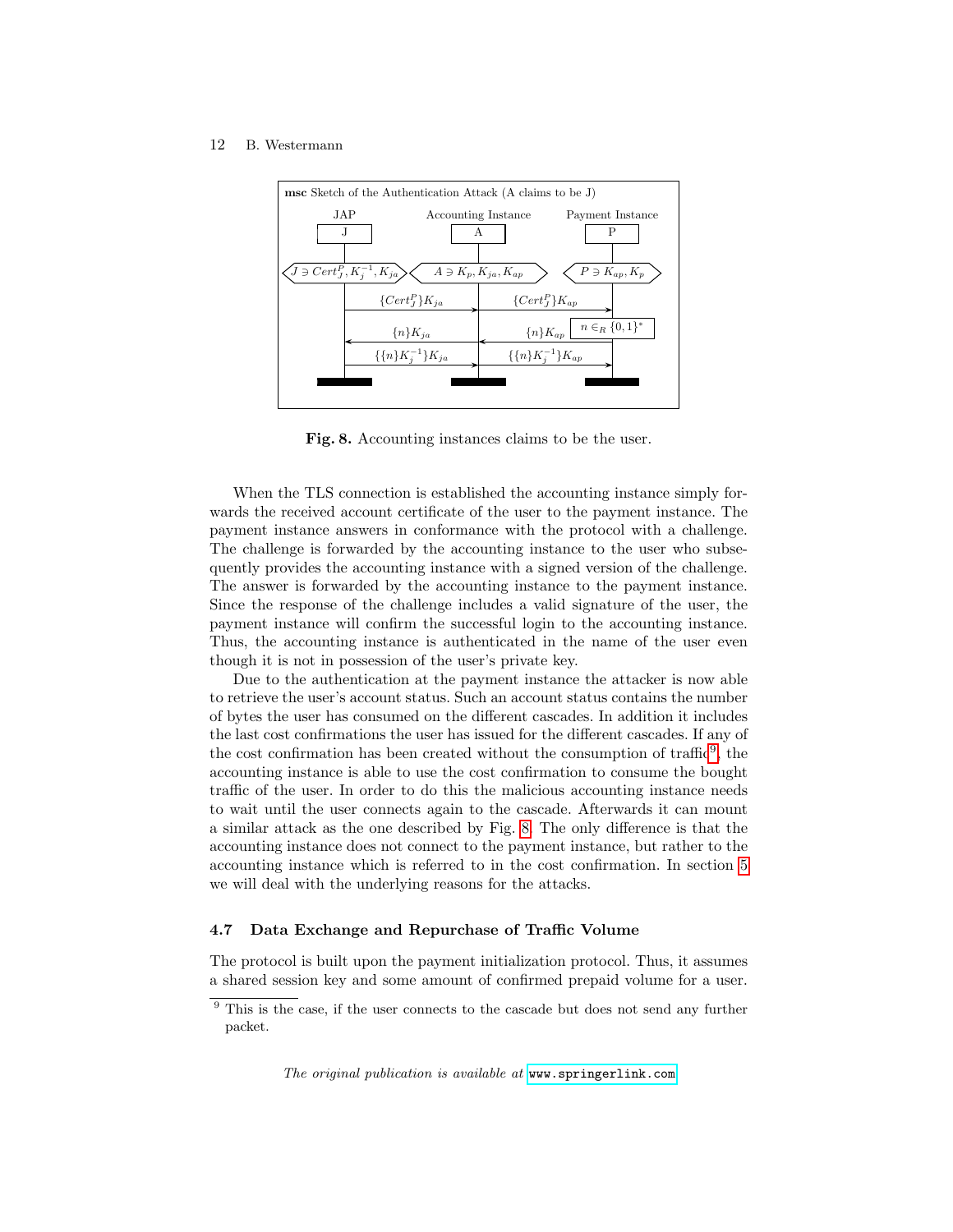

<span id="page-11-0"></span>Fig. 8. Accounting instances claims to be the user.

When the TLS connection is established the accounting instance simply forwards the received account certificate of the user to the payment instance. The payment instance answers in conformance with the protocol with a challenge. The challenge is forwarded by the accounting instance to the user who subsequently provides the accounting instance with a signed version of the challenge. The answer is forwarded by the accounting instance to the payment instance. Since the response of the challenge includes a valid signature of the user, the payment instance will confirm the successful login to the accounting instance. Thus, the accounting instance is authenticated in the name of the user even though it is not in possession of the user's private key.

Due to the authentication at the payment instance the attacker is now able to retrieve the user's account status. Such an account status contains the number of bytes the user has consumed on the different cascades. In addition it includes the last cost confirmations the user has issued for the different cascades. If any of the cost confirmation has been created without the consumption of traffic<sup>[9](#page-11-1)</sup>, the accounting instance is able to use the cost confirmation to consume the bought traffic of the user. In order to do this the malicious accounting instance needs to wait until the user connects again to the cascade. Afterwards it can mount a similar attack as the one described by Fig. [8.](#page-11-0) The only difference is that the accounting instance does not connect to the payment instance, but rather to the accounting instance which is referred to in the cost confirmation. In section [5](#page-12-0) we will deal with the underlying reasons for the attacks.

## 4.7 Data Exchange and Repurchase of Traffic Volume

The protocol is built upon the payment initialization protocol. Thus, it assumes a shared session key and some amount of confirmed prepaid volume for a user.

<span id="page-11-1"></span><sup>&</sup>lt;sup>9</sup> This is the case, if the user connects to the cascade but does not send any further packet.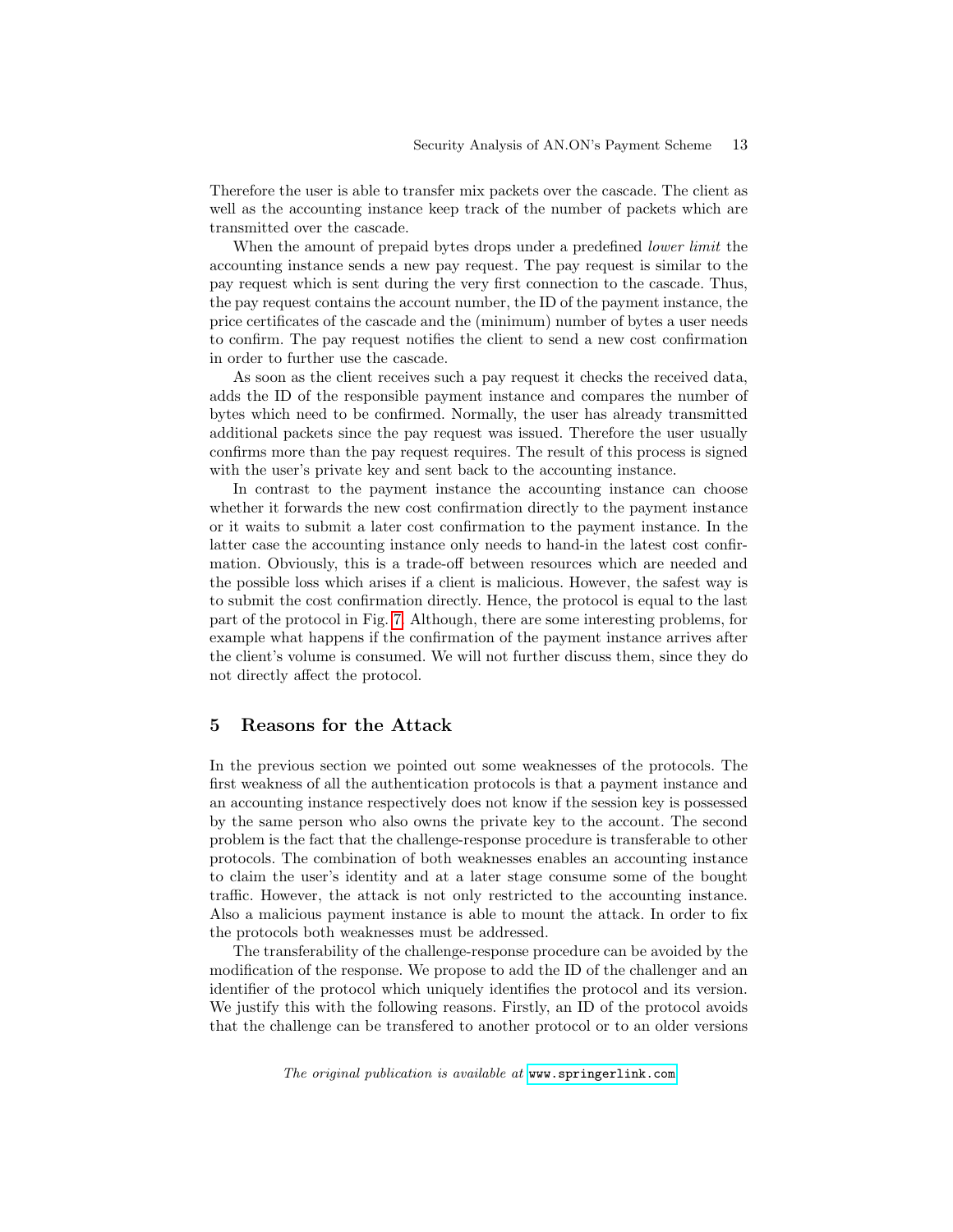Therefore the user is able to transfer mix packets over the cascade. The client as well as the accounting instance keep track of the number of packets which are transmitted over the cascade.

When the amount of prepaid bytes drops under a predefined *lower limit* the accounting instance sends a new pay request. The pay request is similar to the pay request which is sent during the very first connection to the cascade. Thus, the pay request contains the account number, the ID of the payment instance, the price certificates of the cascade and the (minimum) number of bytes a user needs to confirm. The pay request notifies the client to send a new cost confirmation in order to further use the cascade.

As soon as the client receives such a pay request it checks the received data, adds the ID of the responsible payment instance and compares the number of bytes which need to be confirmed. Normally, the user has already transmitted additional packets since the pay request was issued. Therefore the user usually confirms more than the pay request requires. The result of this process is signed with the user's private key and sent back to the accounting instance.

In contrast to the payment instance the accounting instance can choose whether it forwards the new cost confirmation directly to the payment instance or it waits to submit a later cost confirmation to the payment instance. In the latter case the accounting instance only needs to hand-in the latest cost confirmation. Obviously, this is a trade-off between resources which are needed and the possible loss which arises if a client is malicious. However, the safest way is to submit the cost confirmation directly. Hence, the protocol is equal to the last part of the protocol in Fig. [7.](#page-8-0) Although, there are some interesting problems, for example what happens if the confirmation of the payment instance arrives after the client's volume is consumed. We will not further discuss them, since they do not directly affect the protocol.

## <span id="page-12-0"></span>5 Reasons for the Attack

In the previous section we pointed out some weaknesses of the protocols. The first weakness of all the authentication protocols is that a payment instance and an accounting instance respectively does not know if the session key is possessed by the same person who also owns the private key to the account. The second problem is the fact that the challenge-response procedure is transferable to other protocols. The combination of both weaknesses enables an accounting instance to claim the user's identity and at a later stage consume some of the bought traffic. However, the attack is not only restricted to the accounting instance. Also a malicious payment instance is able to mount the attack. In order to fix the protocols both weaknesses must be addressed.

The transferability of the challenge-response procedure can be avoided by the modification of the response. We propose to add the ID of the challenger and an identifier of the protocol which uniquely identifies the protocol and its version. We justify this with the following reasons. Firstly, an ID of the protocol avoids that the challenge can be transfered to another protocol or to an older versions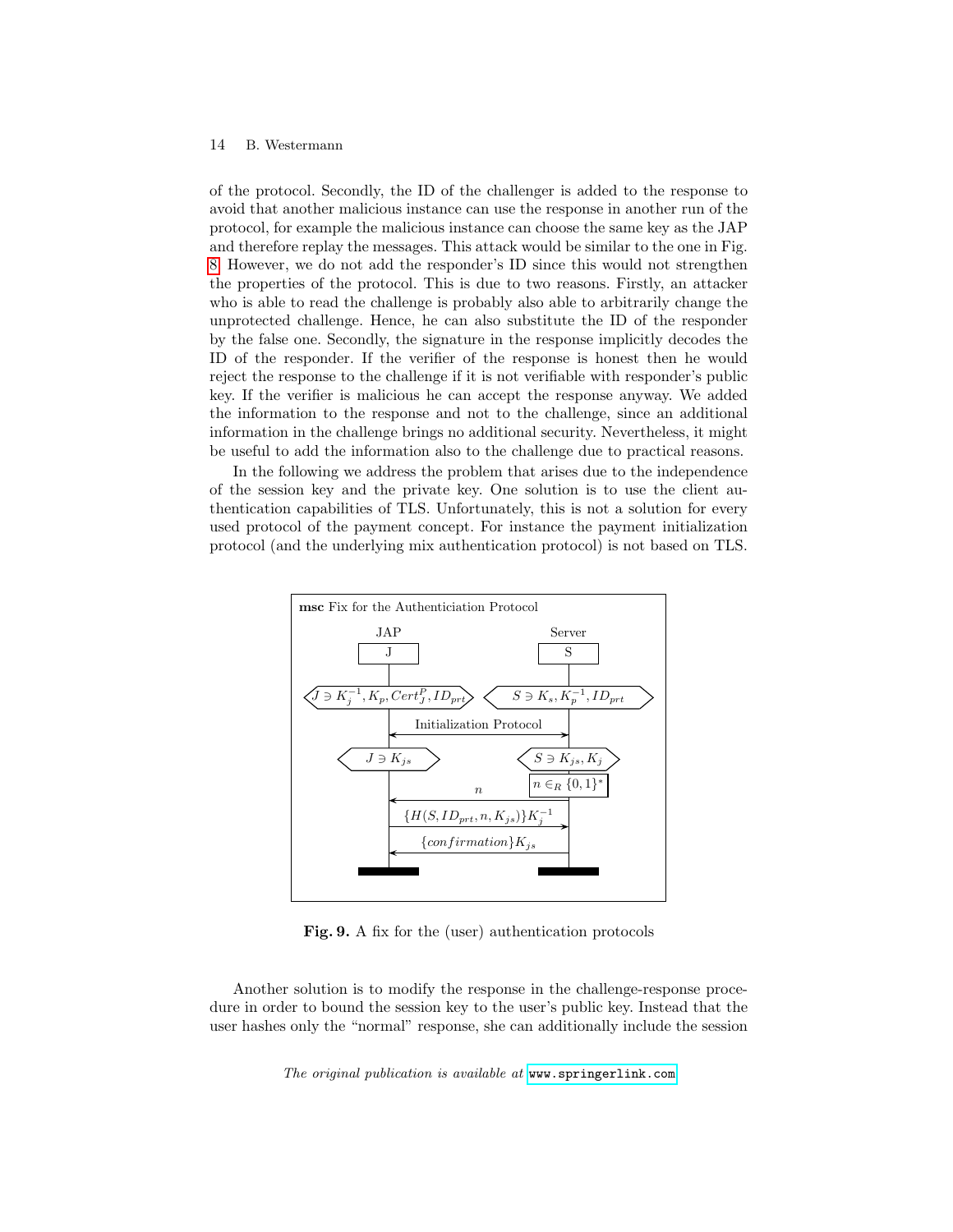of the protocol. Secondly, the ID of the challenger is added to the response to avoid that another malicious instance can use the response in another run of the protocol, for example the malicious instance can choose the same key as the JAP and therefore replay the messages. This attack would be similar to the one in Fig. [8.](#page-11-0) However, we do not add the responder's ID since this would not strengthen the properties of the protocol. This is due to two reasons. Firstly, an attacker who is able to read the challenge is probably also able to arbitrarily change the unprotected challenge. Hence, he can also substitute the ID of the responder by the false one. Secondly, the signature in the response implicitly decodes the ID of the responder. If the verifier of the response is honest then he would reject the response to the challenge if it is not verifiable with responder's public key. If the verifier is malicious he can accept the response anyway. We added the information to the response and not to the challenge, since an additional information in the challenge brings no additional security. Nevertheless, it might be useful to add the information also to the challenge due to practical reasons.

In the following we address the problem that arises due to the independence of the session key and the private key. One solution is to use the client authentication capabilities of TLS. Unfortunately, this is not a solution for every used protocol of the payment concept. For instance the payment initialization protocol (and the underlying mix authentication protocol) is not based on TLS.



<span id="page-13-0"></span>Fig. 9. A fix for the (user) authentication protocols

Another solution is to modify the response in the challenge-response procedure in order to bound the session key to the user's public key. Instead that the user hashes only the "normal" response, she can additionally include the session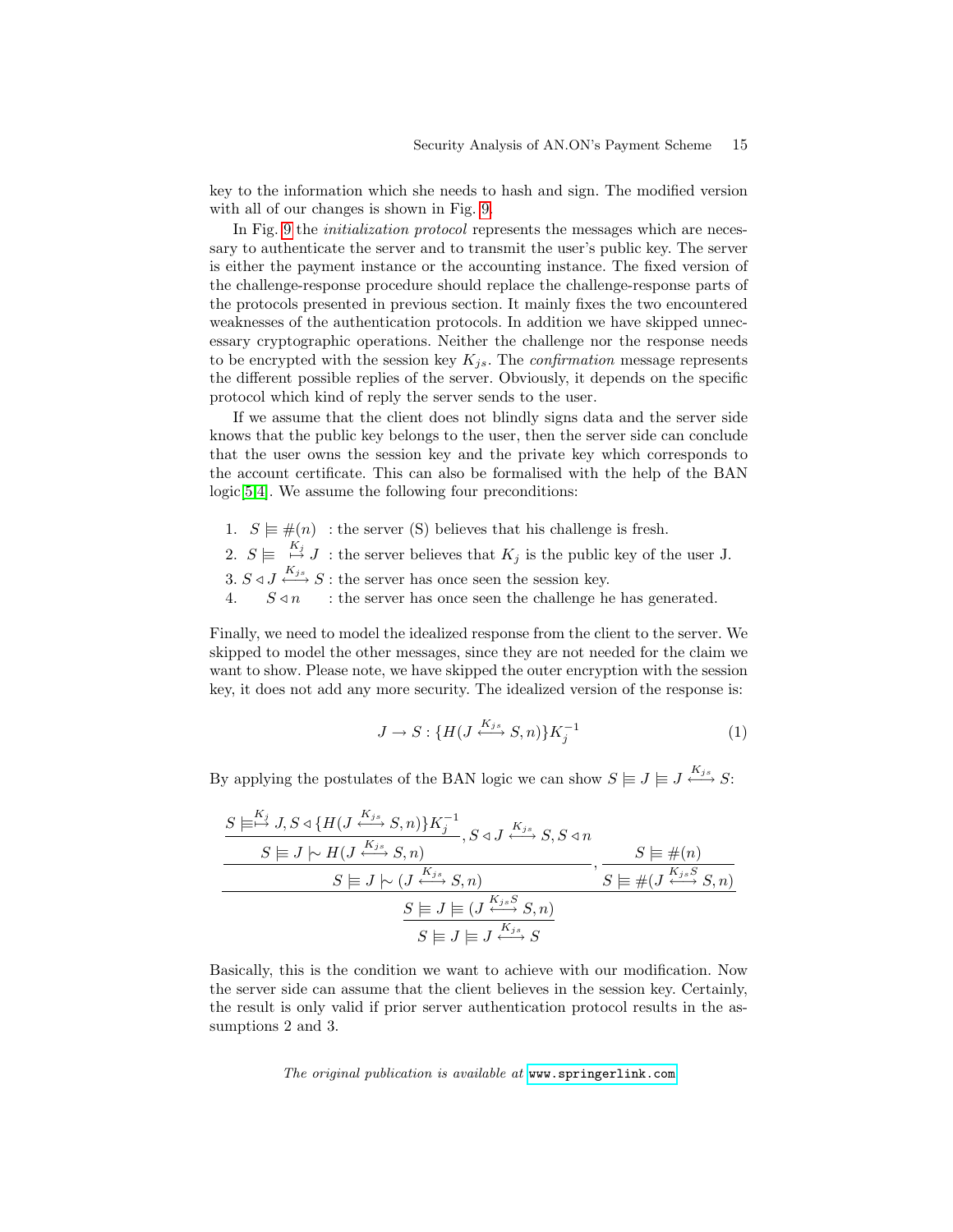key to the information which she needs to hash and sign. The modified version with all of our changes is shown in Fig. [9.](#page-13-0)

In Fig. [9](#page-13-0) the *initialization protocol* represents the messages which are necessary to authenticate the server and to transmit the user's public key. The server is either the payment instance or the accounting instance. The fixed version of the challenge-response procedure should replace the challenge-response parts of the protocols presented in previous section. It mainly fixes the two encountered weaknesses of the authentication protocols. In addition we have skipped unnecessary cryptographic operations. Neither the challenge nor the response needs to be encrypted with the session key  $K_{js}$ . The *confirmation* message represents the different possible replies of the server. Obviously, it depends on the specific protocol which kind of reply the server sends to the user.

If we assume that the client does not blindly signs data and the server side knows that the public key belongs to the user, then the server side can conclude that the user owns the session key and the private key which corresponds to the account certificate. This can also be formalised with the help of the BAN logic[\[5](#page-15-9)[,4\]](#page-15-10). We assume the following four preconditions:

- 1.  $S \equiv \#(n)$ : the server (S) believes that his challenge is fresh.
- 2.  $S \equiv \stackrel{K_j}{\mapsto} J$ : the server believes that  $K_j$  is the public key of the user J.
- 3.  $S \triangleleft J \stackrel{K_{js}}{\longleftrightarrow} S$ : the server has once seen the session key.
- 4.  $S \triangleleft n$  : the server has once seen the challenge he has generated.

Finally, we need to model the idealized response from the client to the server. We skipped to model the other messages, since they are not needed for the claim we want to show. Please note, we have skipped the outer encryption with the session key, it does not add any more security. The idealized version of the response is:

$$
J \to S: \{H(J \xleftrightarrow{K_{js}} S, n)\}K_j^{-1}
$$
\n<sup>(1)</sup>

By applying the postulates of the BAN logic we can show  $S \models J \models J \stackrel{K_{js}}{\longleftrightarrow} S$ :

$$
\frac{S \not\equiv \stackrel{K_j}{\mapsto} J, S \triangleleft \{H(J \xleftrightarrow{K_{js}} S, n)\} K_j^{-1}}{S \not\equiv J \mid \sim H(J \xleftrightarrow{K_{js}} S, n)} , S \triangleleft J \xleftrightarrow{K_{js}} S, S \triangleleft n
$$
\n
$$
S \not\equiv J \mid \sim (J \xleftrightarrow{K_{js}} S, n) , S \not\equiv \# (J \xleftrightarrow{K_{js}} S, n)
$$
\n
$$
\frac{S \not\equiv J \not\equiv (J \xleftrightarrow{K_{js}} S, n)}{S \not\equiv J \not\equiv (J \xleftrightarrow{K_{js}} S} )}
$$

Basically, this is the condition we want to achieve with our modification. Now the server side can assume that the client believes in the session key. Certainly, the result is only valid if prior server authentication protocol results in the assumptions 2 and 3.